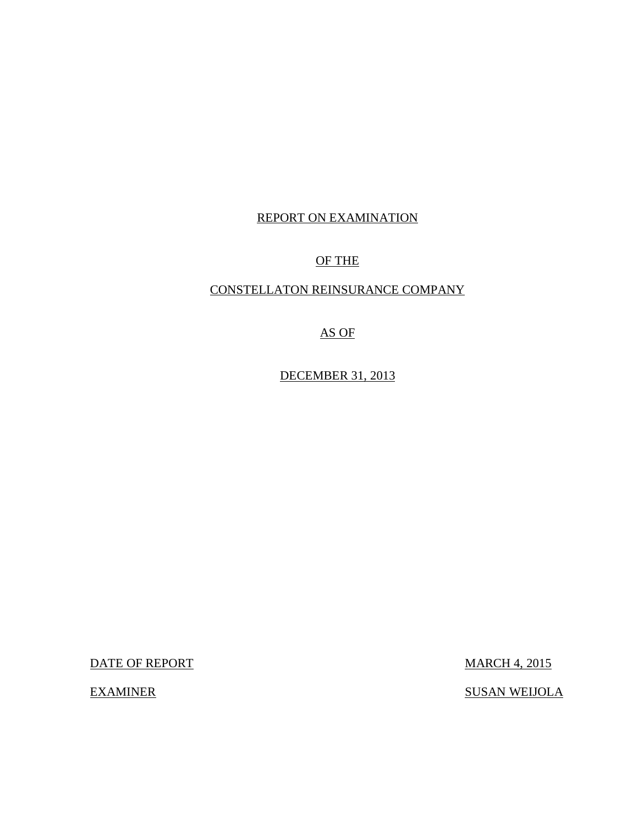### REPORT ON EXAMINATION

## OF THE

## CONSTELLATON REINSURANCE COMPANY

## AS OF

DECEMBER 31, 2013

DATE OF REPORT MARCH 4, 2015

EXAMINER SUSAN WEIJOLA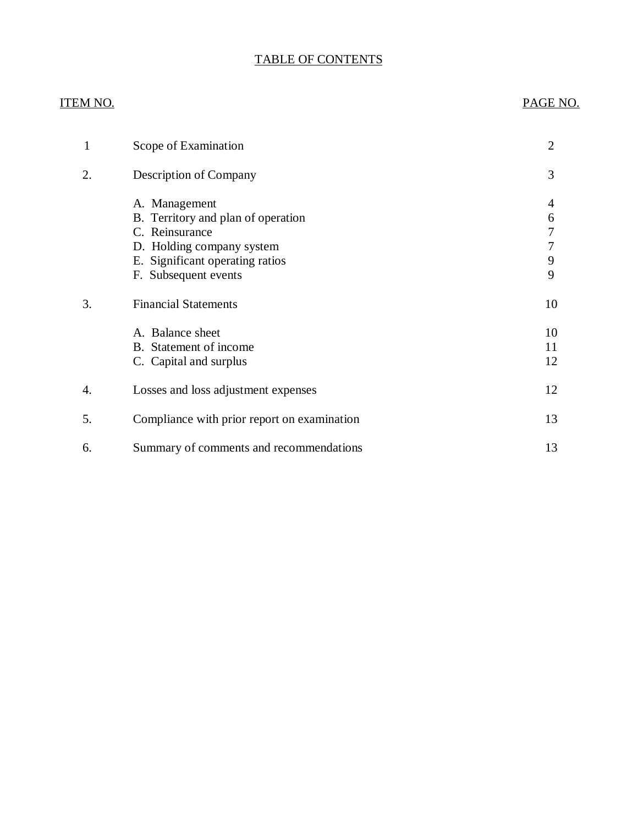## TABLE OF CONTENTS

## ITEM NO. PAGE NO.

| 1  | Scope of Examination                                                                                                                                          | $\overline{2}$             |
|----|---------------------------------------------------------------------------------------------------------------------------------------------------------------|----------------------------|
| 2. | Description of Company                                                                                                                                        | 3                          |
|    | A. Management<br>B. Territory and plan of operation<br>C. Reinsurance<br>D. Holding company system<br>E. Significant operating ratios<br>F. Subsequent events | 4<br>6<br>7<br>7<br>9<br>9 |
| 3. | <b>Financial Statements</b>                                                                                                                                   | 10                         |
|    | A. Balance sheet<br>B. Statement of income<br>C. Capital and surplus                                                                                          | 10<br>11<br>12             |
| 4. | Losses and loss adjustment expenses                                                                                                                           | 12                         |
| 5. | Compliance with prior report on examination                                                                                                                   | 13                         |
| 6. | Summary of comments and recommendations                                                                                                                       | 13                         |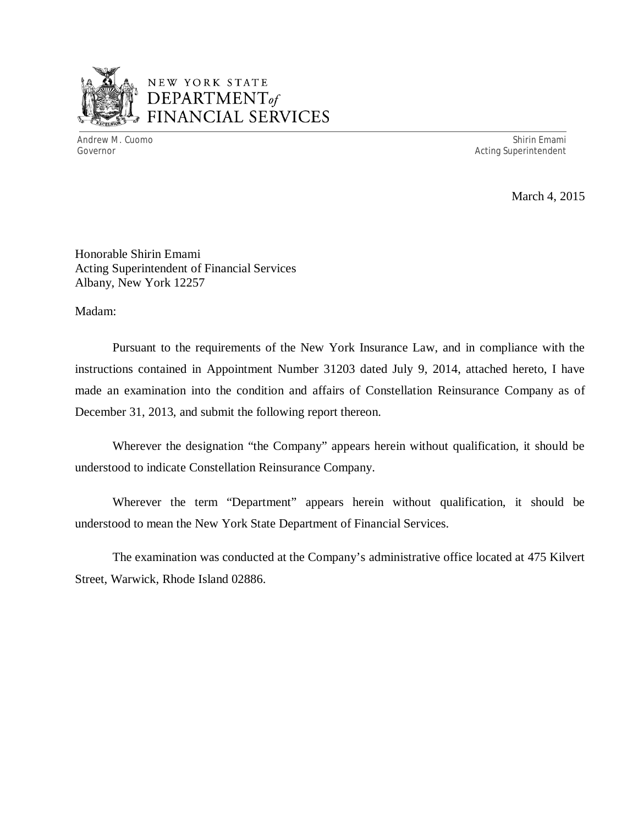

## NEW YORK STATE *DEPARTMENTof*  FINANCIAL SERVICES

Andrew M. Cuomo Shirin Emami Governor and the Superintendent of the Superintendent of the Superintendent of the Superintendent of the Superintendent of the Superintendent of the Superintendent of the Superintendent of the Superintendent of the Superin

March 4, 2015

Honorable Shirin Emami Acting Superintendent of Financial Services Albany, New York 12257

Madam:

Pursuant to the requirements of the New York Insurance Law, and in compliance with the instructions contained in Appointment Number 31203 dated July 9, 2014, attached hereto, I have made an examination into the condition and affairs of Constellation Reinsurance Company as of December 31, 2013, and submit the following report thereon.

Wherever the designation "the Company" appears herein without qualification, it should be understood to indicate Constellation Reinsurance Company.

Wherever the term "Department" appears herein without qualification, it should be understood to mean the New York State Department of Financial Services.

The examination was conducted at the Company's administrative office located at 475 Kilvert Street, Warwick, Rhode Island 02886.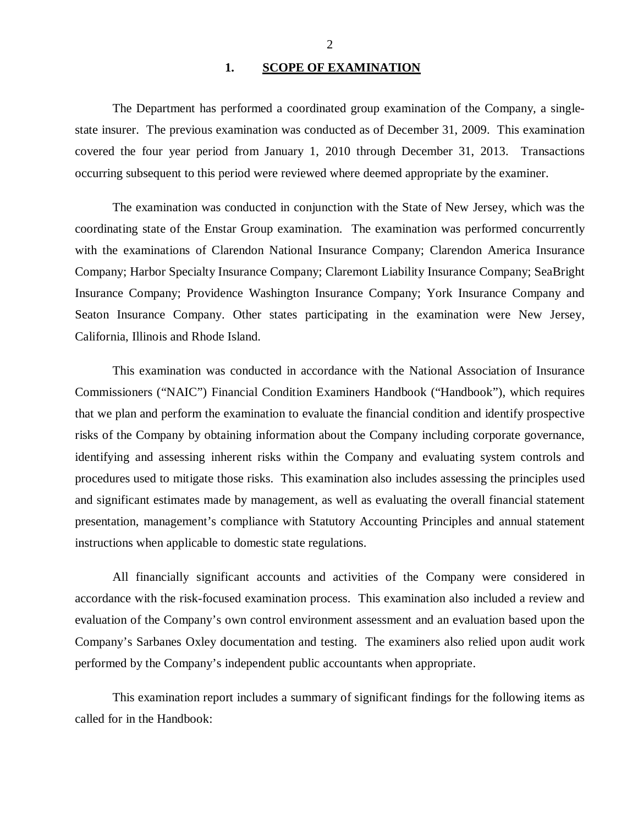#### 1. SCOPE OF EXAMINATION

<span id="page-3-0"></span>The Department has performed a coordinated group examination of the Company*,* a singlestate insurer. The previous examination was conducted as of December 31, 2009. This examination covered the four year period from January 1, 2010 through December 31, 2013. Transactions occurring subsequent to this period were reviewed where deemed appropriate by the examiner.

The examination was conducted in conjunction with the State of New Jersey, which was the coordinating state of the Enstar Group examination. The examination was performed concurrently with the examinations of Clarendon National Insurance Company; Clarendon America Insurance Company; Harbor Specialty Insurance Company; Claremont Liability Insurance Company; SeaBright Insurance Company; Providence Washington Insurance Company; York Insurance Company and Seaton Insurance Company. Other states participating in the examination were New Jersey, California, Illinois and Rhode Island.

This examination was conducted in accordance with the National Association of Insurance Commissioners ("NAIC") Financial Condition Examiners Handbook ("Handbook"), which requires that we plan and perform the examination to evaluate the financial condition and identify prospective risks of the Company by obtaining information about the Company including corporate governance, identifying and assessing inherent risks within the Company and evaluating system controls and procedures used to mitigate those risks. This examination also includes assessing the principles used and significant estimates made by management, as well as evaluating the overall financial statement presentation, management's compliance with Statutory Accounting Principles and annual statement instructions when applicable to domestic state regulations.

All financially significant accounts and activities of the Company were considered in accordance with the risk-focused examination process. This examination also included a review and evaluation of the Company's own control environment assessment and an evaluation based upon the Company's Sarbanes Oxley documentation and testing. The examiners also relied upon audit work performed by the Company's independent public accountants when appropriate.

This examination report includes a summary of significant findings for the following items as called for in the Handbook: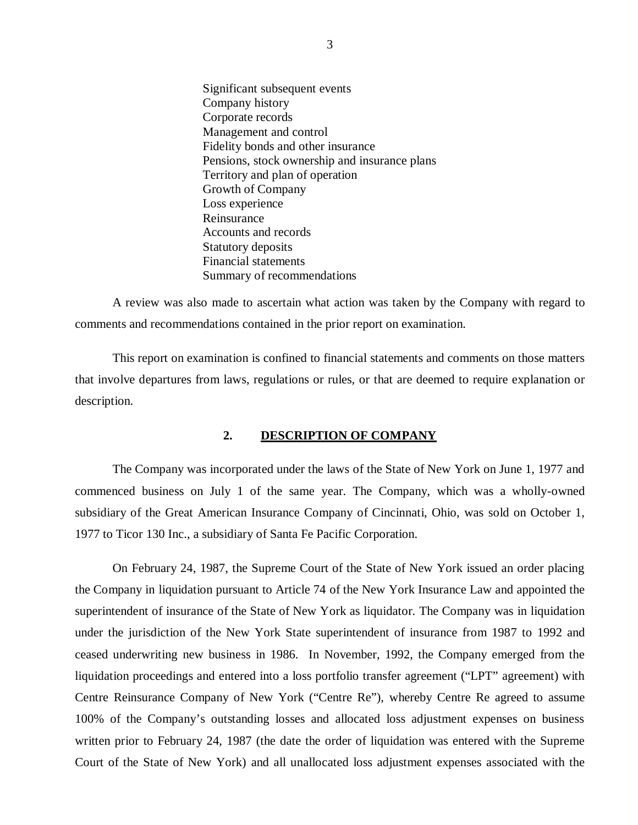<span id="page-4-0"></span>Significant subsequent events Company history Corporate records Management and control Fidelity bonds and other insurance Pensions, stock ownership and insurance plans Territory and plan of operation Growth of Company Loss experience Reinsurance Accounts and records Statutory deposits Financial statements Summary of recommendations

A review was also made to ascertain what action was taken by the Company with regard to comments and recommendations contained in the prior report on examination.

This report on examination is confined to financial statements and comments on those matters that involve departures from laws, regulations or rules, or that are deemed to require explanation or description.

#### **2. DESCRIPTION OF COMPANY**

The Company was incorporated under the laws of the State of New York on June 1, 1977 and commenced business on July 1 of the same year. The Company, which was a wholly-owned subsidiary of the Great American Insurance Company of Cincinnati, Ohio, was sold on October 1, 1977 to Ticor 130 Inc., a subsidiary of Santa Fe Pacific Corporation.

On February 24, 1987, the Supreme Court of the State of New York issued an order placing the Company in liquidation pursuant to Article 74 of the New York Insurance Law and appointed the superintendent of insurance of the State of New York as liquidator. The Company was in liquidation under the jurisdiction of the New York State superintendent of insurance from 1987 to 1992 and ceased underwriting new business in 1986. In November, 1992, the Company emerged from the liquidation proceedings and entered into a loss portfolio transfer agreement ("LPT" agreement) with Centre Reinsurance Company of New York ("Centre Re"), whereby Centre Re agreed to assume 100% of the Company's outstanding losses and allocated loss adjustment expenses on business written prior to February 24, 1987 (the date the order of liquidation was entered with the Supreme Court of the State of New York) and all unallocated loss adjustment expenses associated with the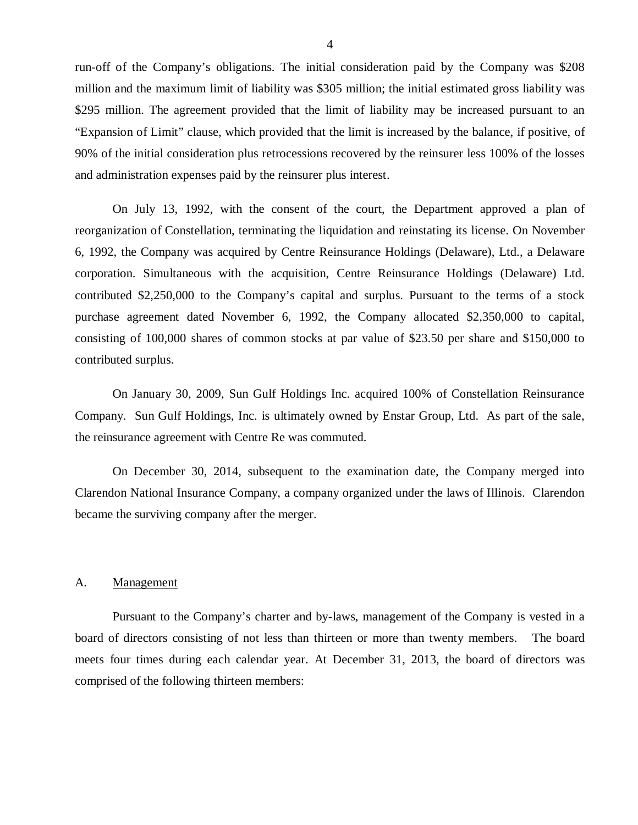<span id="page-5-0"></span>run-off of the Company's obligations. The initial consideration paid by the Company was \$208 million and the maximum limit of liability was \$305 million; the initial estimated gross liability was \$295 million. The agreement provided that the limit of liability may be increased pursuant to an "Expansion of Limit" clause, which provided that the limit is increased by the balance, if positive, of 90% of the initial consideration plus retrocessions recovered by the reinsurer less 100% of the losses and administration expenses paid by the reinsurer plus interest.

On July 13, 1992, with the consent of the court, the Department approved a plan of reorganization of Constellation, terminating the liquidation and reinstating its license. On November 6, 1992, the Company was acquired by Centre Reinsurance Holdings (Delaware), Ltd., a Delaware corporation. Simultaneous with the acquisition, Centre Reinsurance Holdings (Delaware) Ltd. contributed \$2,250,000 to the Company's capital and surplus. Pursuant to the terms of a stock purchase agreement dated November 6, 1992, the Company allocated \$2,350,000 to capital, consisting of 100,000 shares of common stocks at par value of \$23.50 per share and \$150,000 to contributed surplus.

On January 30, 2009, Sun Gulf Holdings Inc. acquired 100% of Constellation Reinsurance Company. Sun Gulf Holdings, Inc. is ultimately owned by Enstar Group, Ltd. As part of the sale, the reinsurance agreement with Centre Re was commuted.

On December 30, 2014, subsequent to the examination date, the Company merged into Clarendon National Insurance Company, a company organized under the laws of Illinois. Clarendon became the surviving company after the merger.

#### A. Management

Pursuant to the Company's charter and by-laws, management of the Company is vested in a board of directors consisting of not less than thirteen or more than twenty members. The board meets four times during each calendar year. At December 31, 2013, the board of directors was comprised of the following thirteen members: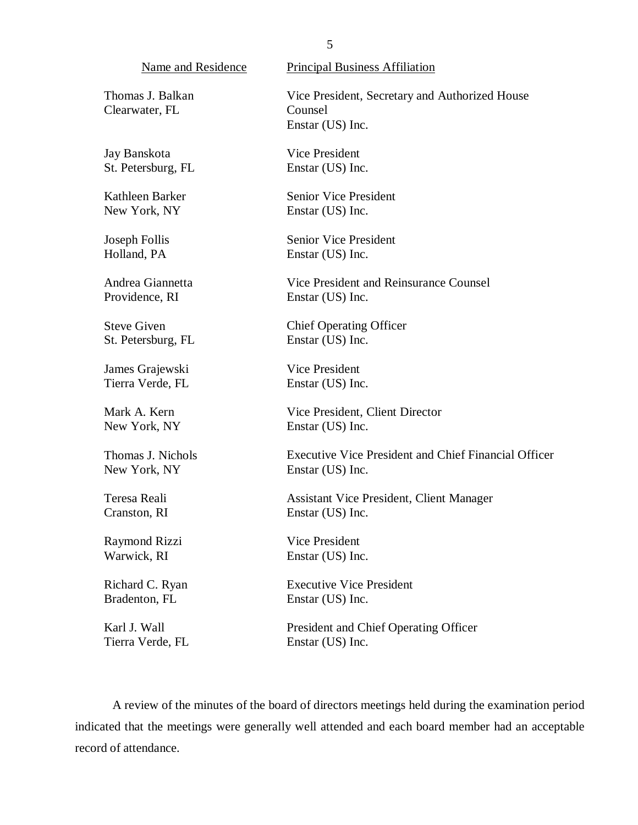Name and Residence

Thomas J. Balkan Clearwater, FL

Jay Banskota St. Petersburg, FL

Kathleen Barker New York, NY

Joseph Follis Holland, PA

Andrea Giannetta Providence, RI

Steve Given St. Petersburg, FL

James Grajewski Tierra Verde, FL

Mark A. Kern New York, NY

Thomas J. Nichols New York, NY

Teresa Reali Cranston, RI

Raymond Rizzi Warwick, RI

Richard C. Ryan Bradenton, FL

Karl J. Wall Tierra Verde, FL Principal Business Affiliation

Vice President, Secretary and Authorized House Counsel Enstar (US) Inc.

Vice President Enstar (US) Inc.

Senior Vice President Enstar (US) Inc.

Senior Vice President Enstar (US) Inc.

Vice President and Reinsurance Counsel Enstar (US) Inc.

Chief Operating Officer Enstar (US) Inc.

Vice President Enstar (US) Inc.

Vice President, Client Director Enstar (US) Inc.

Executive Vice President and Chief Financial Officer Enstar (US) Inc.

Assistant Vice President, Client Manager Enstar (US) Inc.

Vice President Enstar (US) Inc.

Executive Vice President Enstar (US) Inc.

President and Chief Operating Officer Enstar (US) Inc.

A review of the minutes of the board of directors meetings held during the examination period indicated that the meetings were generally well attended and each board member had an acceptable record of attendance.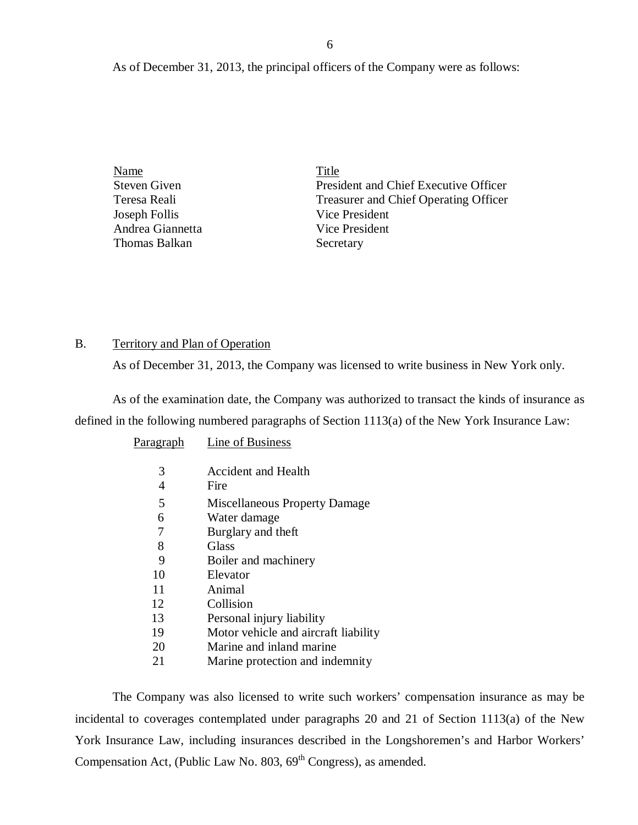<span id="page-7-0"></span>As of December 31, 2013, the principal officers of the Company were as follows:

| Name                | Title                                        |
|---------------------|----------------------------------------------|
| <b>Steven Given</b> | President and Chief Executive Officer        |
| Teresa Reali        | <b>Treasurer and Chief Operating Officer</b> |
| Joseph Follis       | Vice President                               |
| Andrea Giannetta    | Vice President                               |
| Thomas Balkan       | Secretary                                    |

#### B. Territory and Plan of Operation

As of December 31, 2013, the Company was licensed to write business in New York only.

As of the examination date, the Company was authorized to transact the kinds of insurance as defined in the following numbered paragraphs of Section 1113(a) of the New York Insurance Law:

| <b>Miscellaneous Property Damage</b> |
|--------------------------------------|
|                                      |
|                                      |
|                                      |
|                                      |
|                                      |
|                                      |
|                                      |
|                                      |
| Motor vehicle and aircraft liability |
|                                      |
| Marine protection and indemnity      |
|                                      |

The Company was also licensed to write such workers' compensation insurance as may be incidental to coverages contemplated under paragraphs 20 and 21 of Section 1113(a) of the New York Insurance Law, including insurances described in the Longshoremen's and Harbor Workers' Compensation Act, (Public Law No.  $803, 69<sup>th</sup>$  Congress), as amended.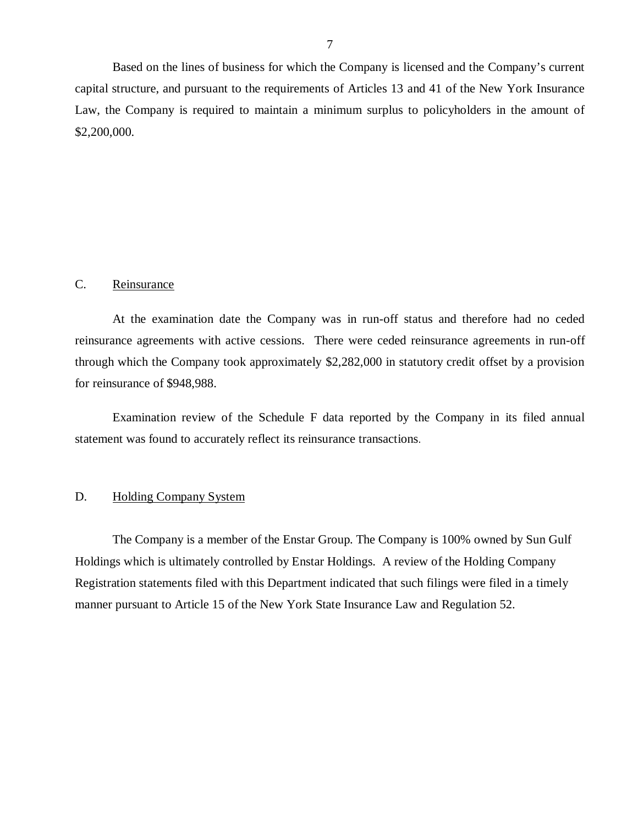<span id="page-8-0"></span>Based on the lines of business for which the Company is licensed and the Company's current capital structure, and pursuant to the requirements of Articles 13 and 41 of the New York Insurance Law, the Company is required to maintain a minimum surplus to policyholders in the amount of \$2,200,000.

#### C. Reinsurance

At the examination date the Company was in run-off status and therefore had no ceded reinsurance agreements with active cessions. There were ceded reinsurance agreements in run-off through which the Company took approximately \$2,282,000 in statutory credit offset by a provision for reinsurance of \$948,988.

Examination review of the Schedule F data reported by the Company in its filed annual statement was found to accurately reflect its reinsurance transactions.

#### D. Holding Company System

The Company is a member of the Enstar Group. The Company is 100% owned by Sun Gulf Holdings which is ultimately controlled by Enstar Holdings. A review of the Holding Company Registration statements filed with this Department indicated that such filings were filed in a timely manner pursuant to Article 15 of the New York State Insurance Law and Regulation 52.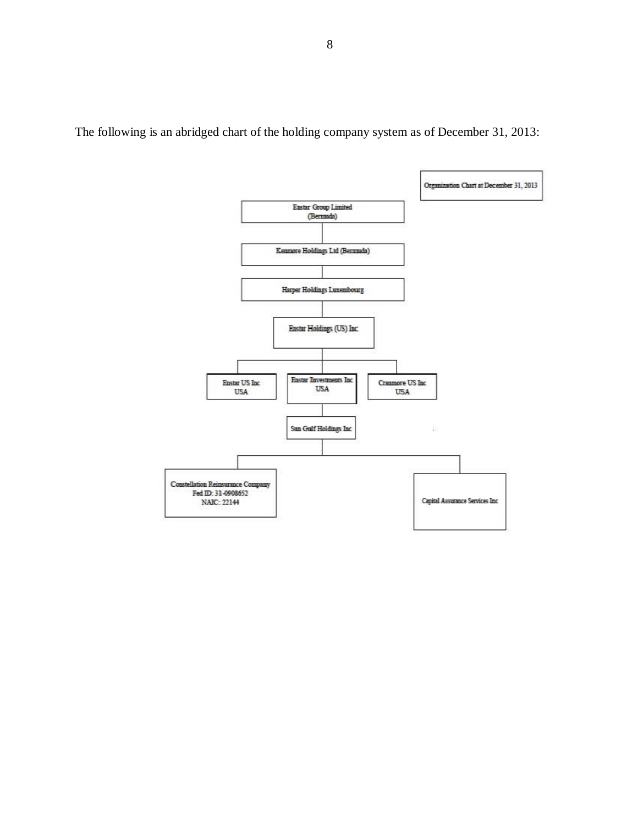

The following is an abridged chart of the holding company system as of December 31, 2013: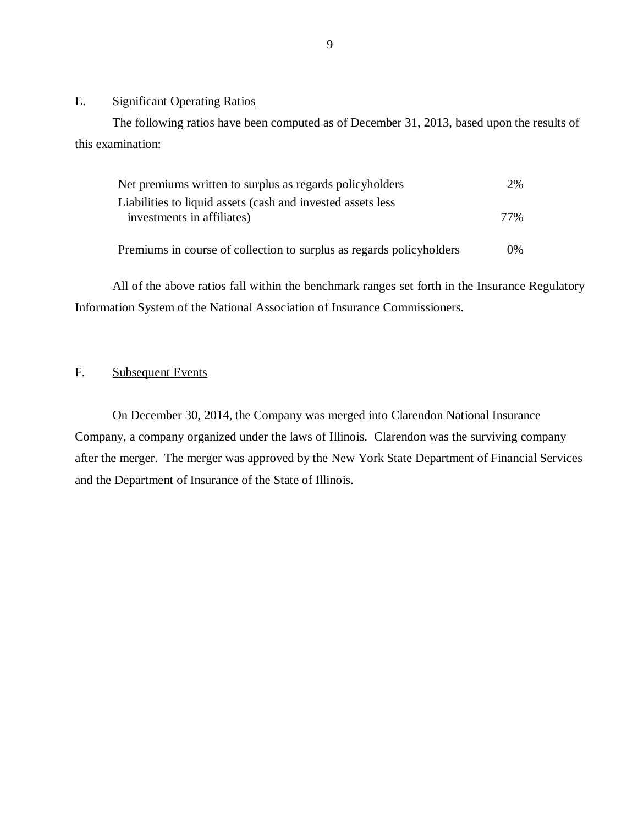#### E. Significant Operating Ratios

The following ratios have been computed as of December 31, 2013, based upon the results of this examination:

| Net premiums written to surplus as regards policyholders             |       |
|----------------------------------------------------------------------|-------|
| Liabilities to liquid assets (cash and invested assets less          | 77%   |
| investments in affiliates)                                           |       |
| Premiums in course of collection to surplus as regards policyholders | $0\%$ |

All of the above ratios fall within the benchmark ranges set forth in the Insurance Regulatory Information System of the National Association of Insurance Commissioners.

#### F. Subsequent Events

On December 30, 2014, the Company was merged into Clarendon National Insurance Company, a company organized under the laws of Illinois. Clarendon was the surviving company after the merger. The merger was approved by the New York State Department of Financial Services and the Department of Insurance of the State of Illinois.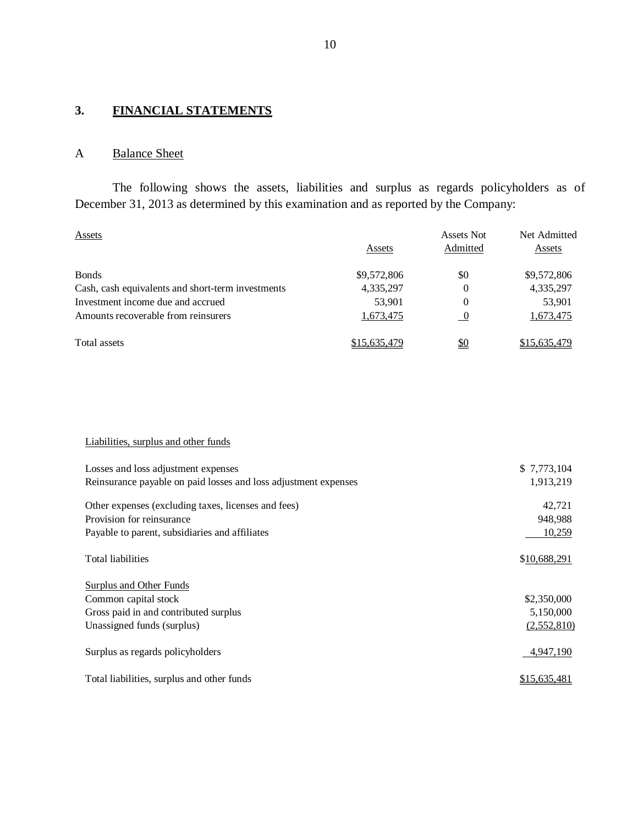## <span id="page-11-0"></span>**3. FINANCIAL STATEMENTS**

## A Balance Sheet

The following shows the assets, liabilities and surplus as regards policyholders as of December 31, 2013 as determined by this examination and as reported by the Company:

| Assets                                            | Assets       | Assets Not<br>Admitted | Net Admitted<br>Assets |
|---------------------------------------------------|--------------|------------------------|------------------------|
| <b>B</b> onds                                     | \$9,572,806  | \$0                    | \$9,572,806            |
| Cash, cash equivalents and short-term investments | 4,335,297    | 0                      | 4,335,297              |
| Investment income due and accrued                 | 53,901       | 0                      | 53,901                 |
| Amounts recoverable from reinsurers               | 1,673,475    | - 0                    | 1,673,475              |
| Total assets                                      | \$15,635,479 | <u>\$0</u>             | \$15,635,479           |

#### Liabilities, surplus and other funds

| Losses and loss adjustment expenses                             | \$7,773,104  |
|-----------------------------------------------------------------|--------------|
| Reinsurance payable on paid losses and loss adjustment expenses | 1,913,219    |
| Other expenses (excluding taxes, licenses and fees)             | 42,721       |
| Provision for reinsurance                                       | 948,988      |
| Payable to parent, subsidiaries and affiliates                  | 10,259       |
| <b>Total liabilities</b>                                        | \$10,688,291 |
| Surplus and Other Funds                                         |              |
| Common capital stock                                            | \$2,350,000  |
| Gross paid in and contributed surplus                           | 5,150,000    |
| Unassigned funds (surplus)                                      | (2,552,810)  |
| Surplus as regards policyholders                                | 4,947,190    |
| Total liabilities, surplus and other funds                      | \$15,635,481 |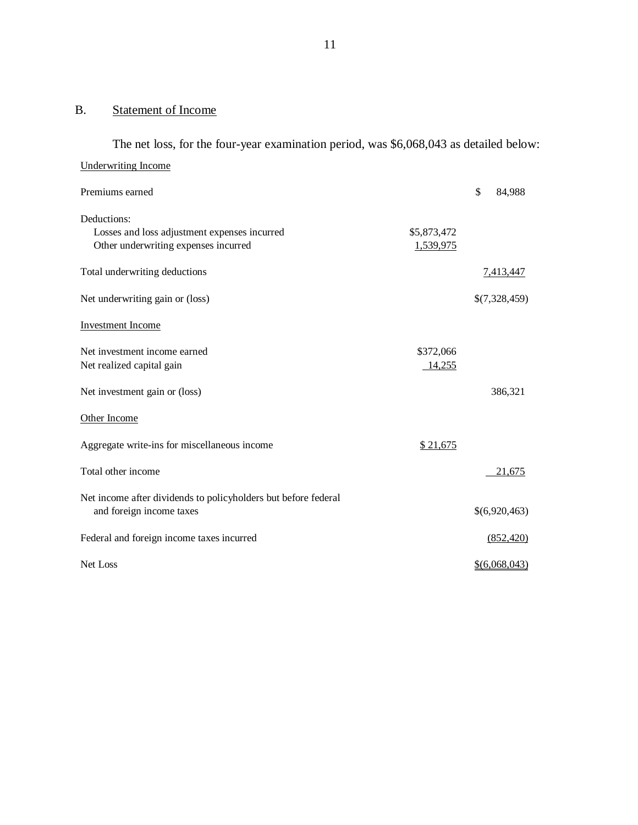#### <span id="page-12-0"></span>B. Statement of Income

The net loss, for the four-year examination period, was \$6,068,043 as detailed below: Underwriting Income Premiums earned  $\qquad$  84,988 Deductions: Losses and loss adjustment expenses incurred \$5,873,472 Other underwriting expenses incurred 1,539,975 Total underwriting deductions  $\frac{7,413,447}{2}$ Net underwriting gain or (loss)  $\frac{\$(7,328,459)}{>}$ Investment Income Net investment income earned \$372,066 Net realized capital gain and the set of the set of the set of the set of the set of the set of the set of the set of the set of the set of the set of the set of the set of the set of the set of the set of the set of the s Net investment gain or (loss) 386,321 Other Income Aggregate write-ins for miscellaneous income  $$ 21,675$ Total other income 21,675 Net income after dividends to policyholders but before federal and foreign income taxes  $\{(6,920,463)\}$ Federal and foreign income taxes incurred (852,420) Net Loss \$(6,068,043)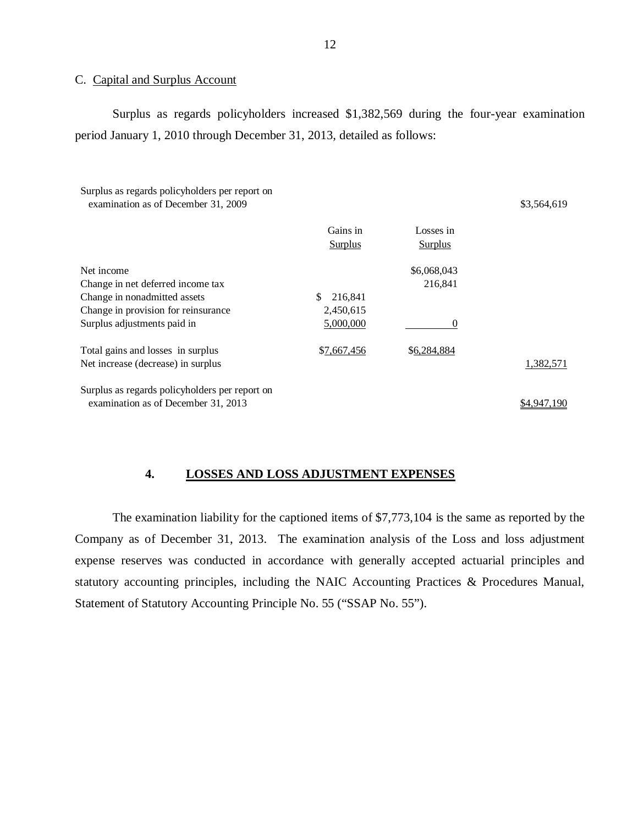#### C. Capital and Surplus Account

Surplus as regards policyholders increased \$1,382,569 during the four-year examination period January 1, 2010 through December 31, 2013, detailed as follows:

Surplus as regards policyholders per report on examination as of December 31, 2009 \$3,564,619

|                                                | Gains in<br><b>Surplus</b> | Losses in<br><b>Surplus</b> |             |
|------------------------------------------------|----------------------------|-----------------------------|-------------|
| Net income                                     |                            | \$6,068,043                 |             |
| Change in net deferred income tax              |                            | 216,841                     |             |
| Change in nonadmitted assets                   | \$<br>216.841              |                             |             |
| Change in provision for reinsurance            | 2,450,615                  |                             |             |
| Surplus adjustments paid in                    | 5,000,000                  | $\theta$                    |             |
| Total gains and losses in surplus              | \$7,667,456                | \$6,284,884                 |             |
| Net increase (decrease) in surplus             |                            |                             | 1,382,571   |
| Surplus as regards policyholders per report on |                            |                             |             |
| examination as of December 31, 2013            |                            |                             | \$4.947.190 |

#### **4. LOSSES AND LOSS ADJUSTMENT EXPENSES**

The examination liability for the captioned items of \$7,773,104 is the same as reported by the Company as of December 31, 2013. The examination analysis of the Loss and loss adjustment expense reserves was conducted in accordance with generally accepted actuarial principles and statutory accounting principles, including the NAIC Accounting Practices & Procedures Manual, Statement of Statutory Accounting Principle No. 55 ("SSAP No. 55").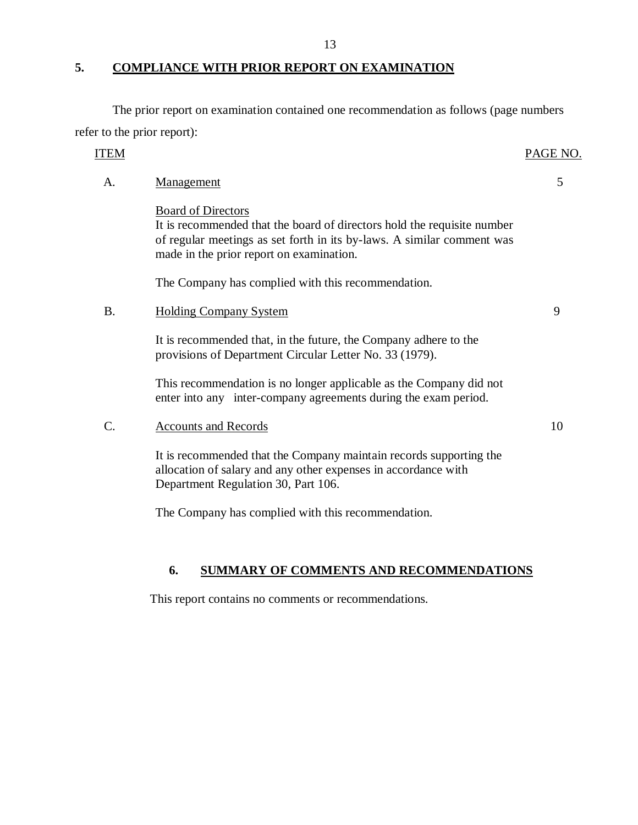#### **5. COMPLIANCE WITH PRIOR REPORT ON EXAMINATION**

The prior report on examination contained one recommendation as follows (page numbers refer to the prior report):

| <b>ITEM</b> |                                                                                                                                                                                                                            | PAGE NO. |
|-------------|----------------------------------------------------------------------------------------------------------------------------------------------------------------------------------------------------------------------------|----------|
| A.          | Management                                                                                                                                                                                                                 | 5        |
|             | <b>Board of Directors</b><br>It is recommended that the board of directors hold the requisite number<br>of regular meetings as set forth in its by-laws. A similar comment was<br>made in the prior report on examination. |          |
|             | The Company has complied with this recommendation.                                                                                                                                                                         |          |
| <b>B.</b>   | <b>Holding Company System</b>                                                                                                                                                                                              | 9        |
|             | It is recommended that, in the future, the Company adhere to the<br>provisions of Department Circular Letter No. 33 (1979).                                                                                                |          |
|             | This recommendation is no longer applicable as the Company did not<br>enter into any inter-company agreements during the exam period.                                                                                      |          |
| C.          | <b>Accounts and Records</b>                                                                                                                                                                                                | 10       |
|             | It is recommended that the Company maintain records supporting the<br>allocation of salary and any other expenses in accordance with<br>Department Regulation 30, Part 106.                                                |          |
|             | The Company has complied with this recommendation.                                                                                                                                                                         |          |
|             |                                                                                                                                                                                                                            |          |

## **6. SUMMARY OF COMMENTS AND RECOMMENDATIONS**

This report contains no comments or recommendations.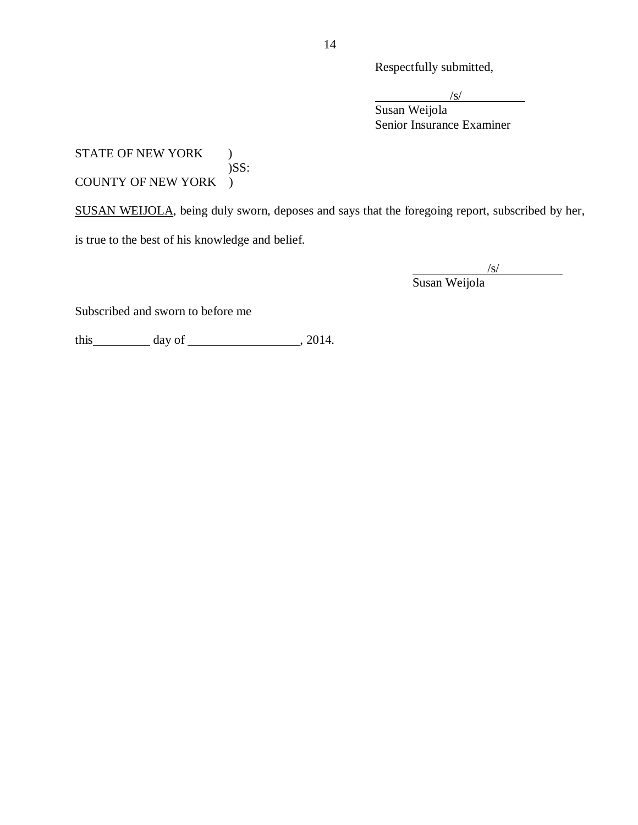Respectfully submitted,

 $\sqrt{s}$ /

Susan Weijola Senior Insurance Examiner

#### STATE OF NEW YORK )  $)$ SS: COUNTY OF NEW YORK )

SUSAN WEIJOLA, being duly sworn, deposes and says that the foregoing report, subscribed by her,

is true to the best of his knowledge and belief.

/s/ Susan Weijola

Subscribed and sworn to before me

this day of , 2014.